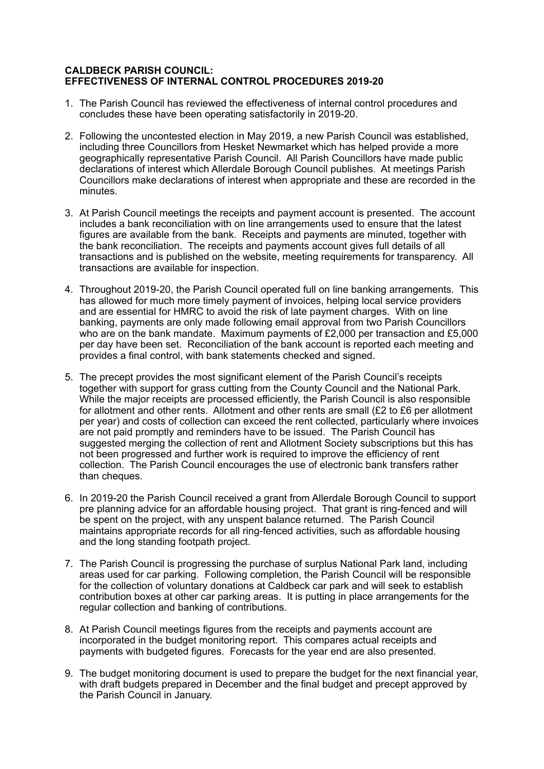## **CALDBECK PARISH COUNCIL: EFFECTIVENESS OF INTERNAL CONTROL PROCEDURES 2019-20**

- 1. The Parish Council has reviewed the effectiveness of internal control procedures and concludes these have been operating satisfactorily in 2019-20.
- 2. Following the uncontested election in May 2019, a new Parish Council was established, including three Councillors from Hesket Newmarket which has helped provide a more geographically representative Parish Council. All Parish Councillors have made public declarations of interest which Allerdale Borough Council publishes. At meetings Parish Councillors make declarations of interest when appropriate and these are recorded in the minutes.
- 3. At Parish Council meetings the receipts and payment account is presented. The account includes a bank reconciliation with on line arrangements used to ensure that the latest figures are available from the bank. Receipts and payments are minuted, together with the bank reconciliation. The receipts and payments account gives full details of all transactions and is published on the website, meeting requirements for transparency. All transactions are available for inspection.
- 4. Throughout 2019-20, the Parish Council operated full on line banking arrangements. This has allowed for much more timely payment of invoices, helping local service providers and are essential for HMRC to avoid the risk of late payment charges. With on line banking, payments are only made following email approval from two Parish Councillors who are on the bank mandate. Maximum payments of £2,000 per transaction and £5,000 per day have been set. Reconciliation of the bank account is reported each meeting and provides a final control, with bank statements checked and signed.
- 5. The precept provides the most significant element of the Parish Council's receipts together with support for grass cutting from the County Council and the National Park. While the major receipts are processed efficiently, the Parish Council is also responsible for allotment and other rents. Allotment and other rents are small (£2 to £6 per allotment per year) and costs of collection can exceed the rent collected, particularly where invoices are not paid promptly and reminders have to be issued. The Parish Council has suggested merging the collection of rent and Allotment Society subscriptions but this has not been progressed and further work is required to improve the efficiency of rent collection. The Parish Council encourages the use of electronic bank transfers rather than cheques.
- 6. In 2019-20 the Parish Council received a grant from Allerdale Borough Council to support pre planning advice for an affordable housing project. That grant is ring-fenced and will be spent on the project, with any unspent balance returned. The Parish Council maintains appropriate records for all ring-fenced activities, such as affordable housing and the long standing footpath project.
- 7. The Parish Council is progressing the purchase of surplus National Park land, including areas used for car parking. Following completion, the Parish Council will be responsible for the collection of voluntary donations at Caldbeck car park and will seek to establish contribution boxes at other car parking areas. It is putting in place arrangements for the regular collection and banking of contributions.
- 8. At Parish Council meetings figures from the receipts and payments account are incorporated in the budget monitoring report. This compares actual receipts and payments with budgeted figures. Forecasts for the year end are also presented.
- 9. The budget monitoring document is used to prepare the budget for the next financial year, with draft budgets prepared in December and the final budget and precept approved by the Parish Council in January.